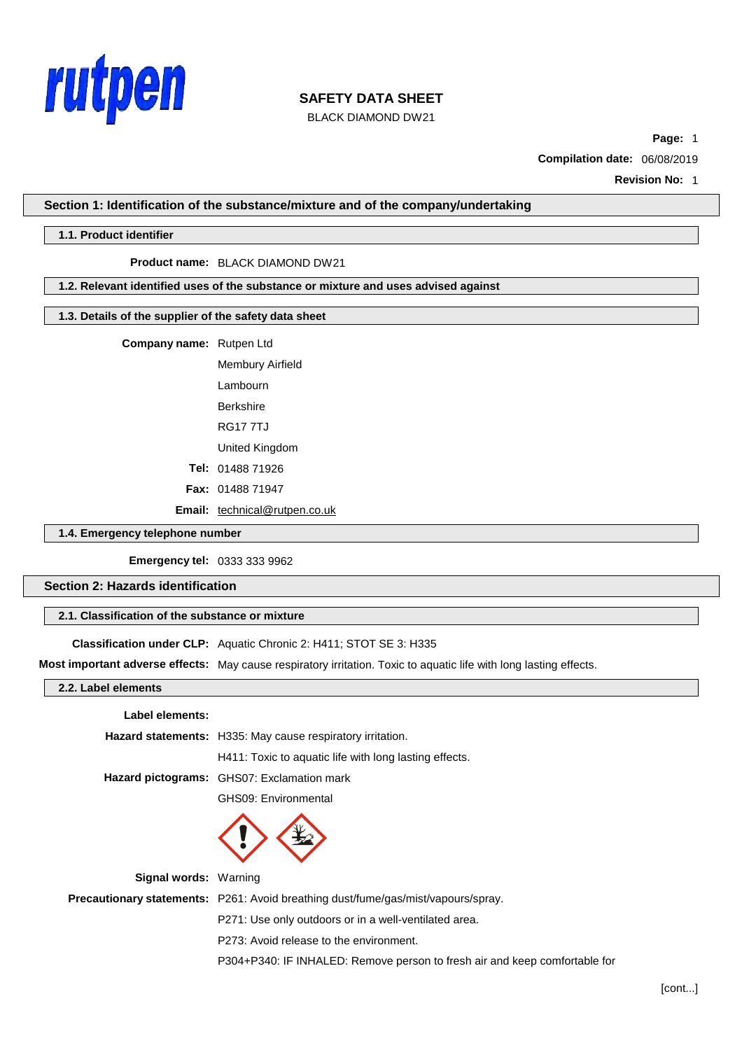

BLACK DIAMOND DW21

**Page:** 1

**Compilation date:** 06/08/2019

**Revision No:** 1

**Section 1: Identification of the substance/mixture and of the company/undertaking**

## **1.1. Product identifier**

#### **Product name:** BLACK DIAMOND DW21

## **1.2. Relevant identified uses of the substance or mixture and uses advised against**

## **1.3. Details of the supplier of the safety data sheet**

**Company name:** Rutpen Ltd

Membury Airfield Lambourn Berkshire RG17 7TJ United Kingdom **Tel:** 01488 71926 **Fax:** 01488 71947

**Email:** [technical@rutpen.co.uk](mailto:technical@rutpen.co.uk)

## **1.4. Emergency telephone number**

**Emergency tel:** 0333 333 9962

**Section 2: Hazards identification**

# **2.1. Classification of the substance or mixture**

**Classification under CLP:** Aquatic Chronic 2: H411; STOT SE 3: H335

**Most important adverse effects:** May cause respiratory irritation. Toxic to aquatic life with long lasting effects.

# **2.2. Label elements**

#### **Label elements:**

|                              | Hazard statements: H335: May cause respiratory irritation.                               |  |
|------------------------------|------------------------------------------------------------------------------------------|--|
|                              | H411: Toxic to aguatic life with long lasting effects.                                   |  |
|                              | Hazard pictograms: GHS07: Exclamation mark                                               |  |
|                              | GHS09: Environmental                                                                     |  |
|                              |                                                                                          |  |
| <b>Signal words: Warning</b> |                                                                                          |  |
|                              | <b>Precautionary statements:</b> P261: Avoid breathing dust/fume/gas/mist/vapours/spray. |  |

P271: Use only outdoors or in a well-ventilated area.

P273: Avoid release to the environment.

P304+P340: IF INHALED: Remove person to fresh air and keep comfortable for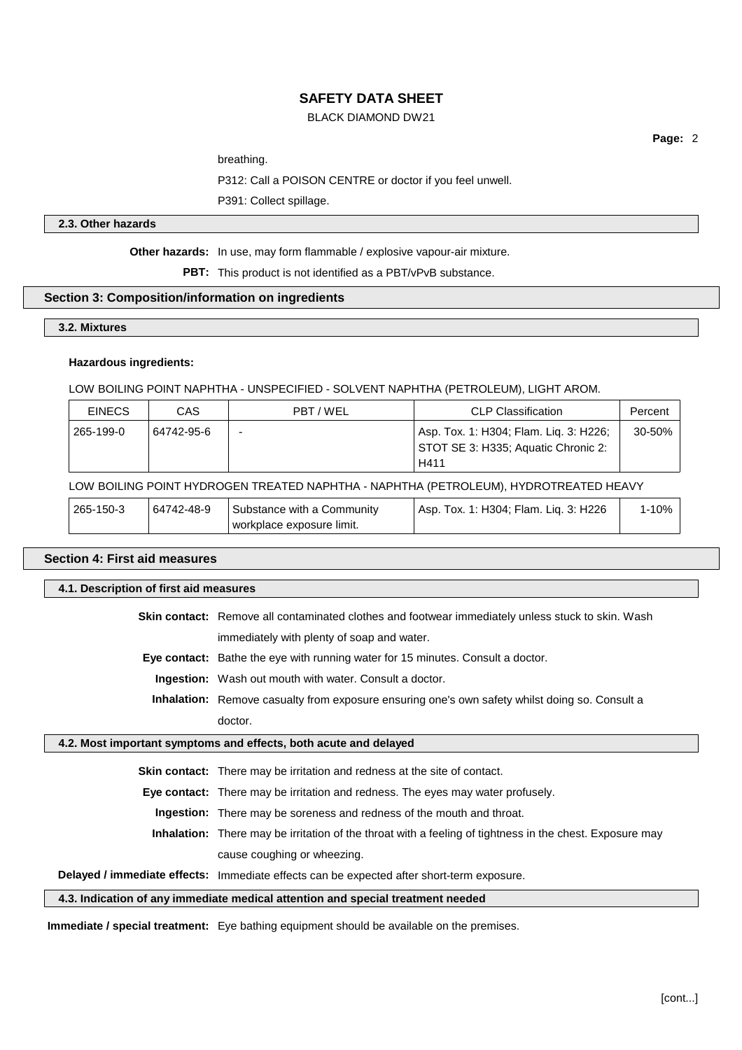# BLACK DIAMOND DW21

**Page:** 2

breathing.

P312: Call a POISON CENTRE or doctor if you feel unwell.

P391: Collect spillage.

## **2.3. Other hazards**

**Other hazards:** In use, may form flammable / explosive vapour-air mixture.

**PBT:** This product is not identified as a PBT/vPvB substance.

## **Section 3: Composition/information on ingredients**

## **3.2. Mixtures**

## **Hazardous ingredients:**

LOW BOILING POINT NAPHTHA - UNSPECIFIED - SOLVENT NAPHTHA (PETROLEUM), LIGHT AROM.

| <b>EINECS</b> | CAS        | PBT/WEL | CLP Classification                                                                    | Percent |
|---------------|------------|---------|---------------------------------------------------------------------------------------|---------|
| 265-199-0     | 64742-95-6 | -       | Asp. Tox. 1: H304; Flam. Liq. 3: H226;<br>STOT SE 3: H335; Aquatic Chronic 2:<br>H411 | 30-50%  |

# LOW BOILING POINT HYDROGEN TREATED NAPHTHA - NAPHTHA (PETROLEUM), HYDROTREATED HEAVY

| 265-150-3 | 64742-48-9 | Substance with a Community | . 1: H304; Flam. Lig. 3: H226<br>Tox.<br>Asp. | 10% |
|-----------|------------|----------------------------|-----------------------------------------------|-----|
|           |            | workplace exposure limit.  |                                               |     |

# **Section 4: First aid measures**

| 4.1. Description of first aid measures |                                                                                                                 |  |
|----------------------------------------|-----------------------------------------------------------------------------------------------------------------|--|
|                                        | <b>Skin contact:</b> Remove all contaminated clothes and footwear immediately unless stuck to skin. Wash        |  |
|                                        | immediately with plenty of soap and water.                                                                      |  |
|                                        | <b>Eye contact:</b> Bathe the eye with running water for 15 minutes. Consult a doctor.                          |  |
|                                        | <b>Ingestion:</b> Wash out mouth with water. Consult a doctor.                                                  |  |
|                                        | <b>Inhalation:</b> Remove casualty from exposure ensuring one's own safety whilst doing so. Consult a           |  |
|                                        | doctor.                                                                                                         |  |
|                                        | 4.2. Most important symptoms and effects, both acute and delayed                                                |  |
|                                        | <b>Skin contact:</b> There may be irritation and redness at the site of contact.                                |  |
|                                        | <b>Eye contact:</b> There may be irritation and redness. The eyes may water profusely.                          |  |
|                                        | <b>Ingestion:</b> There may be soreness and redness of the mouth and throat.                                    |  |
|                                        | <b>Inhalation:</b> There may be irritation of the throat with a feeling of tightness in the chest. Exposure may |  |
|                                        | cause coughing or wheezing.                                                                                     |  |
|                                        | Delayed / immediate effects: Immediate effects can be expected after short-term exposure.                       |  |

**4.3. Indication of any immediate medical attention and special treatment needed**

**Immediate / special treatment:** Eye bathing equipment should be available on the premises.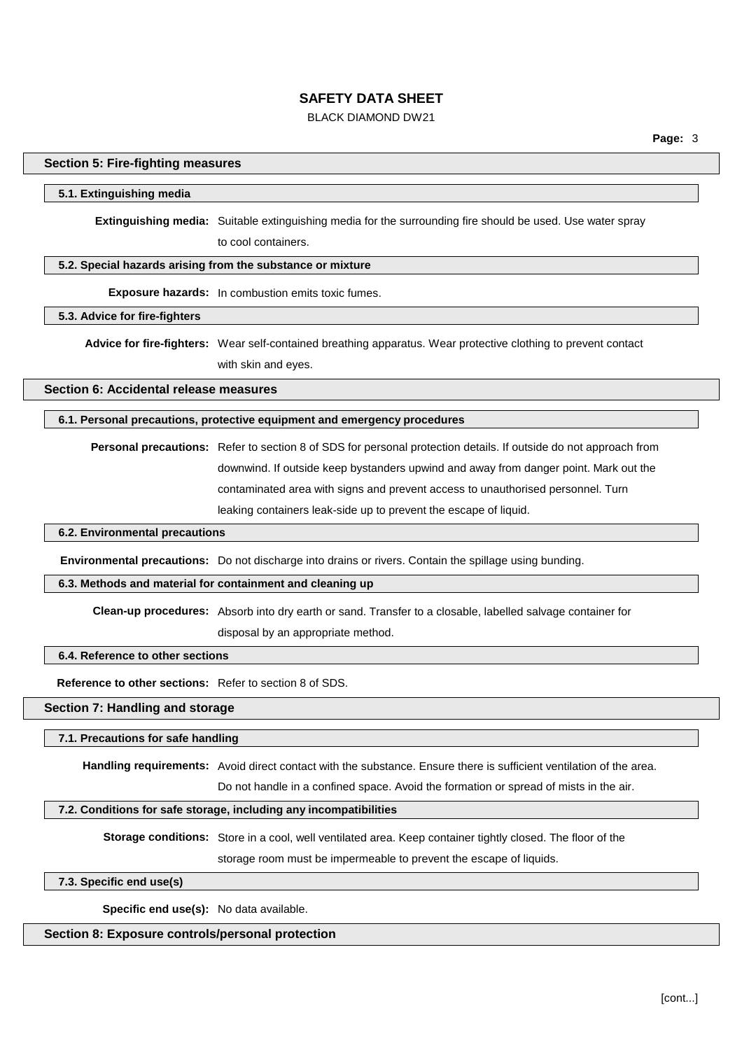# BLACK DIAMOND DW21

## **Section 5: Fire-fighting measures**

#### **5.1. Extinguishing media**

**Extinguishing media:** Suitable extinguishing media for the surrounding fire should be used. Use water spray to cool containers.

## **5.2. Special hazards arising from the substance or mixture**

**Exposure hazards:** In combustion emits toxic fumes.

# **5.3. Advice for fire-fighters**

**Advice for fire-fighters:** Wear self-contained breathing apparatus. Wear protective clothing to prevent contact with skin and eyes.

**Section 6: Accidental release measures**

## **6.1. Personal precautions, protective equipment and emergency procedures**

**Personal precautions:** Refer to section 8 of SDS for personal protection details. If outside do not approach from downwind. If outside keep bystanders upwind and away from danger point. Mark out the contaminated area with signs and prevent access to unauthorised personnel. Turn leaking containers leak-side up to prevent the escape of liquid.

# **6.2. Environmental precautions**

**Environmental precautions:** Do not discharge into drains or rivers. Contain the spillage using bunding.

#### **6.3. Methods and material for containment and cleaning up**

**Clean-up procedures:** Absorb into dry earth or sand. Transfer to a closable, labelled salvage container for

disposal by an appropriate method.

# **6.4. Reference to other sections**

**Reference to other sections:** Refer to section 8 of SDS.

# **Section 7: Handling and storage**

#### **7.1. Precautions for safe handling**

**Handling requirements:** Avoid direct contact with the substance. Ensure there is sufficient ventilation of the area.

Do not handle in a confined space. Avoid the formation or spread of mists in the air.

#### **7.2. Conditions for safe storage, including any incompatibilities**

**Storage conditions:** Store in a cool, well ventilated area. Keep container tightly closed. The floor of the storage room must be impermeable to prevent the escape of liquids.

**7.3. Specific end use(s)**

**Specific end use(s):** No data available.

## **Section 8: Exposure controls/personal protection**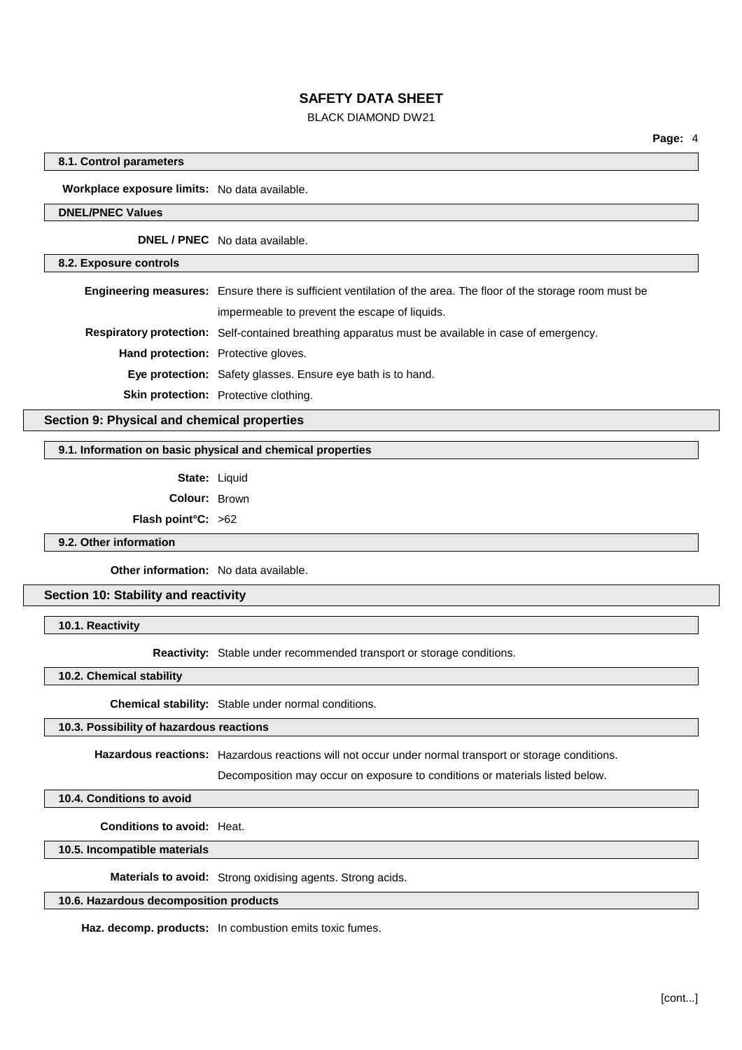# BLACK DIAMOND DW21

# **8.1. Control parameters**

**Workplace exposure limits:** No data available.

### **DNEL/PNEC Values**

**DNEL / PNEC** No data available.

## **8.2. Exposure controls**

**Engineering measures:** Ensure there is sufficient ventilation of the area. The floor of the storage room must be impermeable to prevent the escape of liquids.

**Respiratory protection:** Self-contained breathing apparatus must be available in case of emergency.

**Hand protection:** Protective gloves.

**Eye protection:** Safety glasses. Ensure eye bath is to hand.

**Skin protection:** Protective clothing.

# **Section 9: Physical and chemical properties**

#### **9.1. Information on basic physical and chemical properties**

**State:** Liquid

**Colour:** Brown

**Flash point°C:** >62

**9.2. Other information**

**Other information:** No data available.

# **Section 10: Stability and reactivity**

**10.1. Reactivity**

**Reactivity:** Stable under recommended transport or storage conditions.

**10.2. Chemical stability**

**Chemical stability:** Stable under normal conditions.

## **10.3. Possibility of hazardous reactions**

**Hazardous reactions:** Hazardous reactions will not occur under normal transport or storage conditions.

Decomposition may occur on exposure to conditions or materials listed below.

# **10.4. Conditions to avoid**

**Conditions to avoid:** Heat.

**10.5. Incompatible materials**

**Materials to avoid:** Strong oxidising agents. Strong acids.

# **10.6. Hazardous decomposition products**

**Haz. decomp. products:** In combustion emits toxic fumes.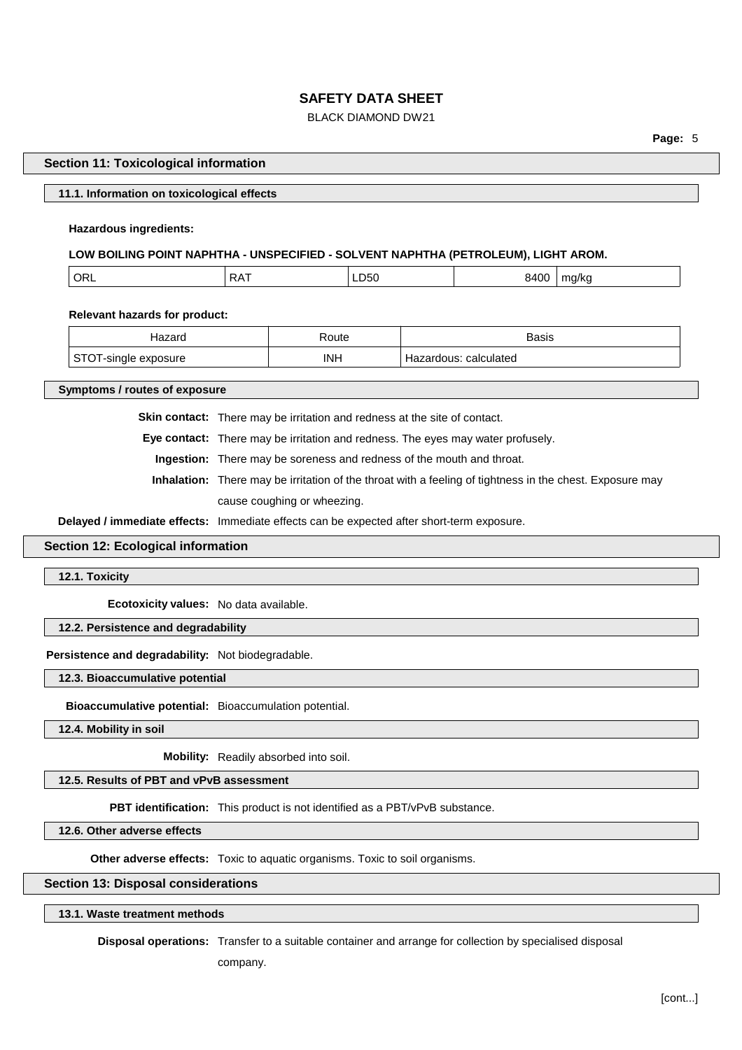# BLACK DIAMOND DW21

**Page:** 5

### **Section 11: Toxicological information**

#### **11.1. Information on toxicological effects**

#### **Hazardous ingredients:**

## **LOW BOILING POINT NAPHTHA - UNSPECIFIED - SOLVENT NAPHTHA (PETROLEUM), LIGHT AROM.**

| ' OR∟ | ∠△<br>. <i>. .</i> | LDOU | ، م<br>v<br>,u<br>$  -$ | 11 D.<br>. |
|-------|--------------------|------|-------------------------|------------|
|       |                    |      |                         |            |

**Relevant hazards for product:**

| Hazard             | Route      | Basis                    |
|--------------------|------------|--------------------------|
| single<br>exposure | <b>INH</b> | calculated<br>Hazardous: |

**Symptoms / routes of exposure**

**Skin contact:** There may be irritation and redness at the site of contact.

**Eye contact:** There may be irritation and redness. The eyes may water profusely.

**Ingestion:** There may be soreness and redness of the mouth and throat.

**Inhalation:** There may be irritation of the throat with a feeling of tightness in the chest. Exposure may cause coughing or wheezing.

**Delayed / immediate effects:** Immediate effects can be expected after short-term exposure.

# **Section 12: Ecological information**

**12.1. Toxicity**

**Ecotoxicity values:** No data available.

## **12.2. Persistence and degradability**

**Persistence and degradability:** Not biodegradable.

## **12.3. Bioaccumulative potential**

**Bioaccumulative potential:** Bioaccumulation potential.

**12.4. Mobility in soil**

**Mobility:** Readily absorbed into soil.

### **12.5. Results of PBT and vPvB assessment**

**PBT identification:** This product is not identified as a PBT/vPvB substance.

**12.6. Other adverse effects**

**Other adverse effects:** Toxic to aquatic organisms. Toxic to soil organisms.

# **Section 13: Disposal considerations**

**13.1. Waste treatment methods**

**Disposal operations:** Transfer to a suitable container and arrange for collection by specialised disposal

company.